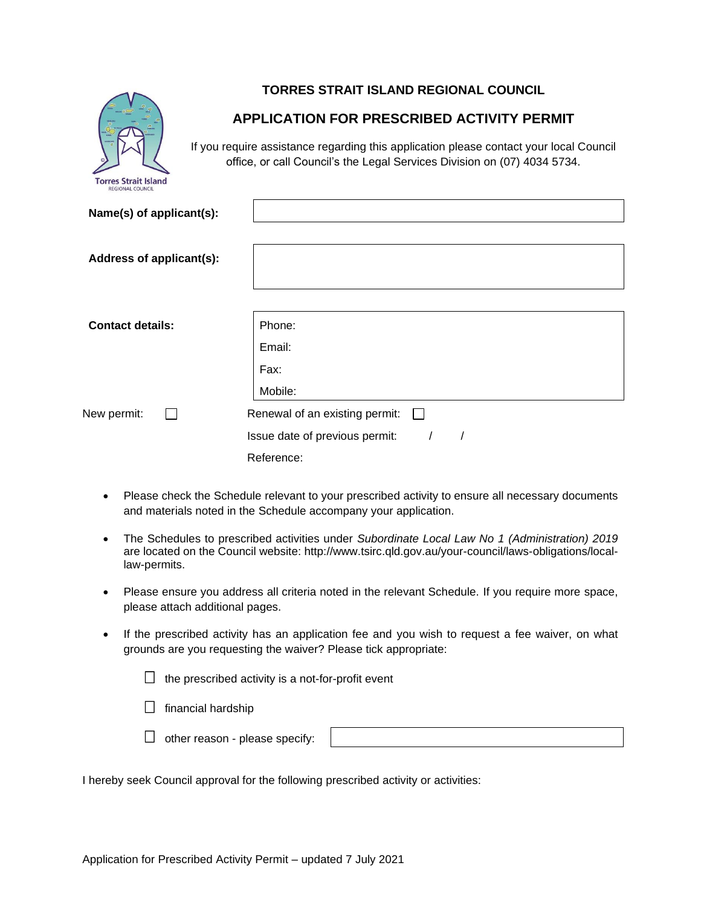

# **TORRES STRAIT ISLAND REGIONAL COUNCIL**

# **APPLICATION FOR PRESCRIBED ACTIVITY PERMIT**

If you require assistance regarding this application please contact your local Council office, or call Council's the Legal Services Division on (07) 4034 5734.

| Name(s) of applicant(s): |                                |
|--------------------------|--------------------------------|
|                          |                                |
| Address of applicant(s): |                                |
|                          |                                |
|                          |                                |
| <b>Contact details:</b>  | Phone:                         |
|                          | Email:                         |
|                          | Fax:                           |
|                          | Mobile:                        |
| New permit:              | Renewal of an existing permit: |
|                          | Issue date of previous permit: |
|                          | Reference:                     |

- Please check the Schedule relevant to your prescribed activity to ensure all necessary documents and materials noted in the Schedule accompany your application.
- The Schedules to prescribed activities under *Subordinate Local Law No 1 (Administration) 2019* are located on the Council website: http://www.tsirc.qld.gov.au/your-council/laws-obligations/locallaw-permits.
- Please ensure you address all criteria noted in the relevant Schedule. If you require more space, please attach additional pages.
- If the prescribed activity has an application fee and you wish to request a fee waiver, on what grounds are you requesting the waiver? Please tick appropriate:

| $\Box$ the prescribed activity is a not-for-profit event |  |  |
|----------------------------------------------------------|--|--|
|                                                          |  |  |

 $\Box$  financial hardship



I hereby seek Council approval for the following prescribed activity or activities: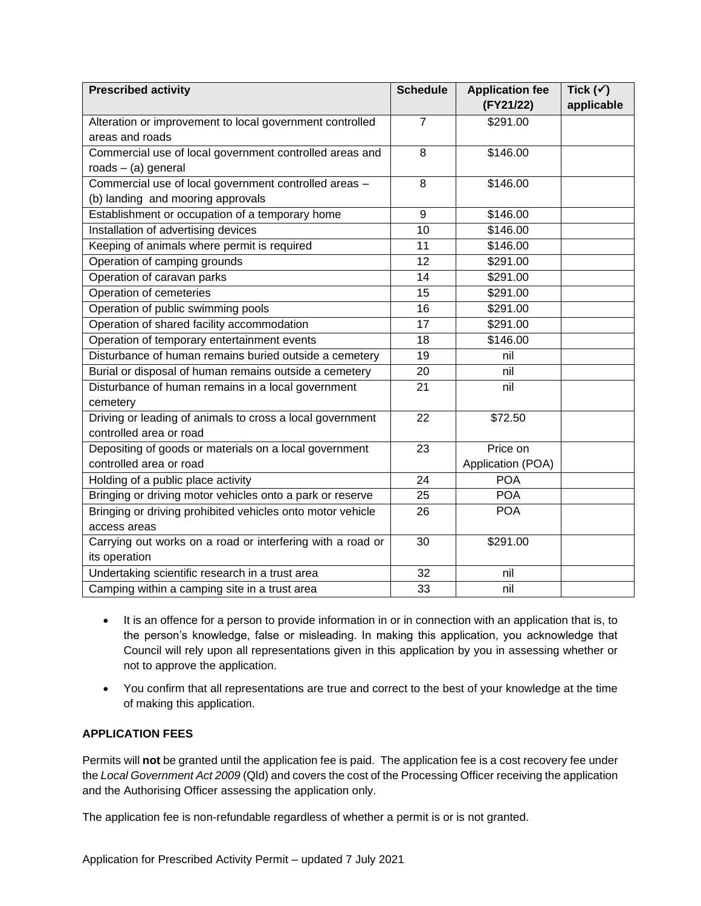| <b>Prescribed activity</b>                                 | <b>Schedule</b> | <b>Application fee</b> | Tick $(\checkmark)$ |
|------------------------------------------------------------|-----------------|------------------------|---------------------|
|                                                            |                 | (FY21/22)              | applicable          |
| Alteration or improvement to local government controlled   | $\overline{7}$  | \$291.00               |                     |
| areas and roads                                            |                 |                        |                     |
| Commercial use of local government controlled areas and    | 8               | \$146.00               |                     |
| roads $-$ (a) general                                      |                 |                        |                     |
| Commercial use of local government controlled areas -      | 8               | \$146.00               |                     |
| (b) landing and mooring approvals                          |                 |                        |                     |
| Establishment or occupation of a temporary home            | 9               | \$146.00               |                     |
| Installation of advertising devices                        | 10              | \$146.00               |                     |
| Keeping of animals where permit is required                | 11              | \$146.00               |                     |
| Operation of camping grounds                               | $\overline{12}$ | \$291.00               |                     |
| Operation of caravan parks                                 | 14              | \$291.00               |                     |
| Operation of cemeteries                                    | 15              | \$291.00               |                     |
| Operation of public swimming pools                         | 16              | \$291.00               |                     |
| Operation of shared facility accommodation                 | 17              | \$291.00               |                     |
| Operation of temporary entertainment events                | 18              | \$146.00               |                     |
| Disturbance of human remains buried outside a cemetery     | 19              | nil                    |                     |
| Burial or disposal of human remains outside a cemetery     | 20              | nil                    |                     |
| Disturbance of human remains in a local government         | 21              | nil                    |                     |
| cemetery                                                   |                 |                        |                     |
| Driving or leading of animals to cross a local government  | 22              | \$72.50                |                     |
| controlled area or road                                    |                 |                        |                     |
| Depositing of goods or materials on a local government     | 23              | Price on               |                     |
| controlled area or road                                    |                 | Application (POA)      |                     |
| Holding of a public place activity                         | 24              | <b>POA</b>             |                     |
| Bringing or driving motor vehicles onto a park or reserve  | 25              | <b>POA</b>             |                     |
| Bringing or driving prohibited vehicles onto motor vehicle | 26              | <b>POA</b>             |                     |
| access areas                                               |                 |                        |                     |
| Carrying out works on a road or interfering with a road or | 30              | \$291.00               |                     |
| its operation                                              |                 |                        |                     |
| Undertaking scientific research in a trust area            | 32              | nil                    |                     |
| Camping within a camping site in a trust area              | 33              | nil                    |                     |

- It is an offence for a person to provide information in or in connection with an application that is, to the person's knowledge, false or misleading. In making this application, you acknowledge that Council will rely upon all representations given in this application by you in assessing whether or not to approve the application.
- You confirm that all representations are true and correct to the best of your knowledge at the time of making this application.

### **APPLICATION FEES**

Permits will not be granted until the application fee is paid. The application fee is a cost recovery fee under the *Local Government Act 2009* (Qld) and covers the cost of the Processing Officer receiving the application and the Authorising Officer assessing the application only.

The application fee is non-refundable regardless of whether a permit is or is not granted.